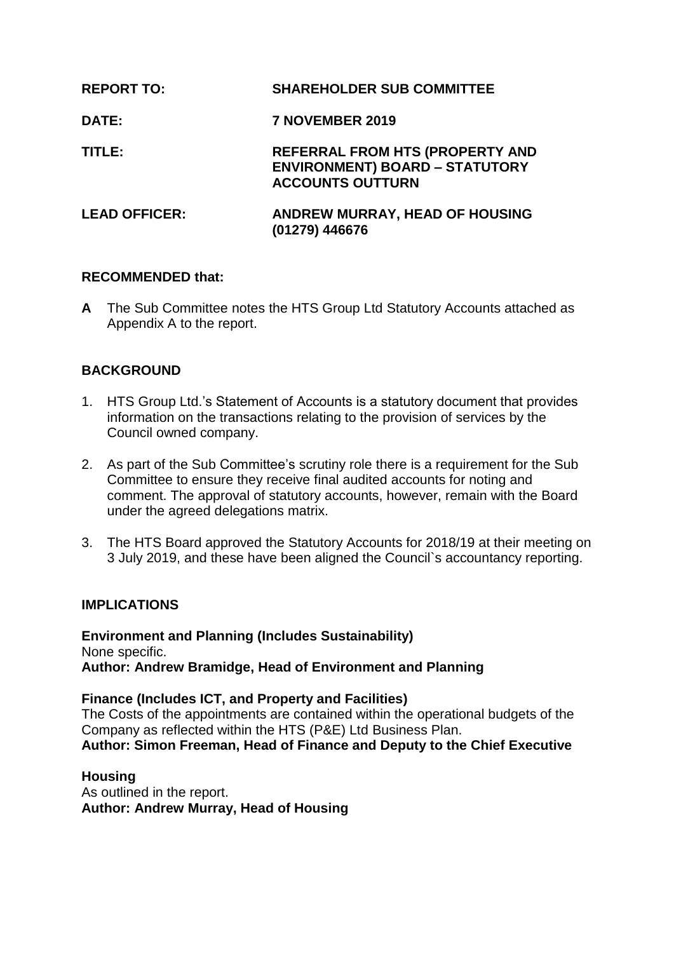| <b>REPORT TO:</b>    | <b>SHAREHOLDER SUB COMMITTEE</b>                                                                           |
|----------------------|------------------------------------------------------------------------------------------------------------|
| <b>DATE:</b>         | 7 NOVEMBER 2019                                                                                            |
| TITLE:               | <b>REFERRAL FROM HTS (PROPERTY AND</b><br><b>ENVIRONMENT) BOARD - STATUTORY</b><br><b>ACCOUNTS OUTTURN</b> |
| <b>LEAD OFFICER:</b> | <b>ANDREW MURRAY, HEAD OF HOUSING</b><br>(01279) 446676                                                    |

## **RECOMMENDED that:**

**A** The Sub Committee notes the HTS Group Ltd Statutory Accounts attached as Appendix A to the report.

# **BACKGROUND**

- 1. HTS Group Ltd.'s Statement of Accounts is a statutory document that provides information on the transactions relating to the provision of services by the Council owned company.
- 2. As part of the Sub Committee's scrutiny role there is a requirement for the Sub Committee to ensure they receive final audited accounts for noting and comment. The approval of statutory accounts, however, remain with the Board under the agreed delegations matrix.
- 3. The HTS Board approved the Statutory Accounts for 2018/19 at their meeting on 3 July 2019, and these have been aligned the Council`s accountancy reporting.

#### **IMPLICATIONS**

**Environment and Planning (Includes Sustainability)** None specific. **Author: Andrew Bramidge, Head of Environment and Planning**

**Finance (Includes ICT, and Property and Facilities)**

The Costs of the appointments are contained within the operational budgets of the Company as reflected within the HTS (P&E) Ltd Business Plan. **Author: Simon Freeman, Head of Finance and Deputy to the Chief Executive**

**Housing**

As outlined in the report. **Author: Andrew Murray, Head of Housing**